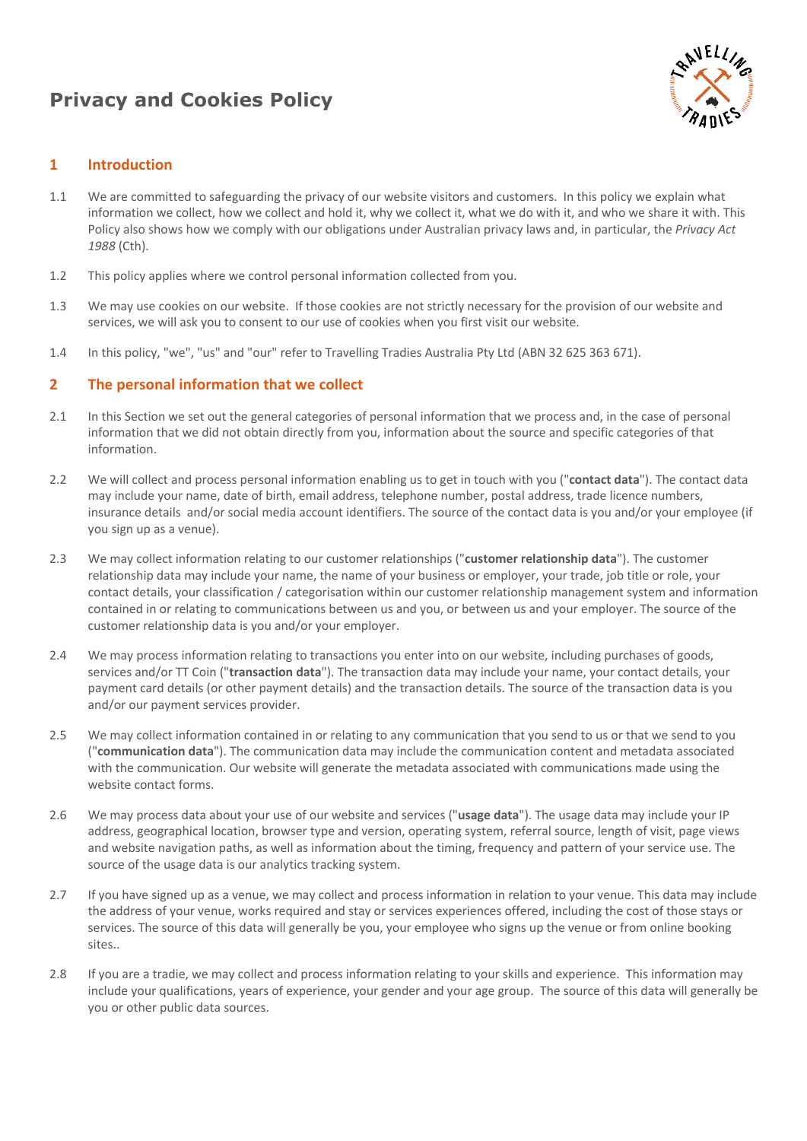# **Privacy and Cookies Policy**



# **1 Introduction**

- 1.1 We are committed to safeguarding the privacy of our website visitors and customers. In this policy we explain what information we collect, how we collect and hold it, why we collect it, what we do with it, and who we share it with. This Policy also shows how we comply with our obligations under Australian privacy laws and, in particular, the *Privacy Act 1988* (Cth).
- 1.2 This policy applies where we control personal information collected from you.
- 1.3 We may use cookies on our website. If those cookies are not strictly necessary for the provision of our website and services, we will ask you to consent to our use of cookies when you first visit our website.
- 1.4 In this policy, "we", "us" and "our" refer to Travelling Tradies Australia Pty Ltd (ABN 32 625 363 671).

# **2 The personal information that we collect**

- 2.1 In this Section we set out the general categories of personal information that we process and, in the case of personal information that we did not obtain directly from you, information about the source and specific categories of that information.
- 2.2 We will collect and process personal information enabling us to get in touch with you ("**contact data**"). The contact data may include your name, date of birth, email address, telephone number, postal address, trade licence numbers, insurance details and/or social media account identifiers. The source of the contact data is you and/or your employee (if you sign up as a venue).
- 2.3 We may collect information relating to our customer relationships ("**customer relationship data**"). The customer relationship data may include your name, the name of your business or employer, your trade, job title or role, your contact details, your classification / categorisation within our customer relationship management system and information contained in or relating to communications between us and you, or between us and your employer. The source of the customer relationship data is you and/or your employer.
- 2.4 We may process information relating to transactions you enter into on our website, including purchases of goods, services and/or TT Coin ("**transaction data**"). The transaction data may include your name, your contact details, your payment card details (or other payment details) and the transaction details. The source of the transaction data is you and/or our payment services provider.
- 2.5 We may collect information contained in or relating to any communication that you send to us or that we send to you ("**communication data**"). The communication data may include the communication content and metadata associated with the communication. Our website will generate the metadata associated with communications made using the website contact forms.
- 2.6 We may process data about your use of our website and services ("**usage data**"). The usage data may include your IP address, geographical location, browser type and version, operating system, referral source, length of visit, page views and website navigation paths, as well as information about the timing, frequency and pattern of your service use. The source of the usage data is our analytics tracking system.
- 2.7 If you have signed up as a venue, we may collect and process information in relation to your venue. This data may include the address of your venue, works required and stay or services experiences offered, including the cost of those stays or services. The source of this data will generally be you, your employee who signs up the venue or from online booking sites..
- 2.8 If you are a tradie, we may collect and process information relating to your skills and experience. This information may include your qualifications, years of experience, your gender and your age group. The source of this data will generally be you or other public data sources.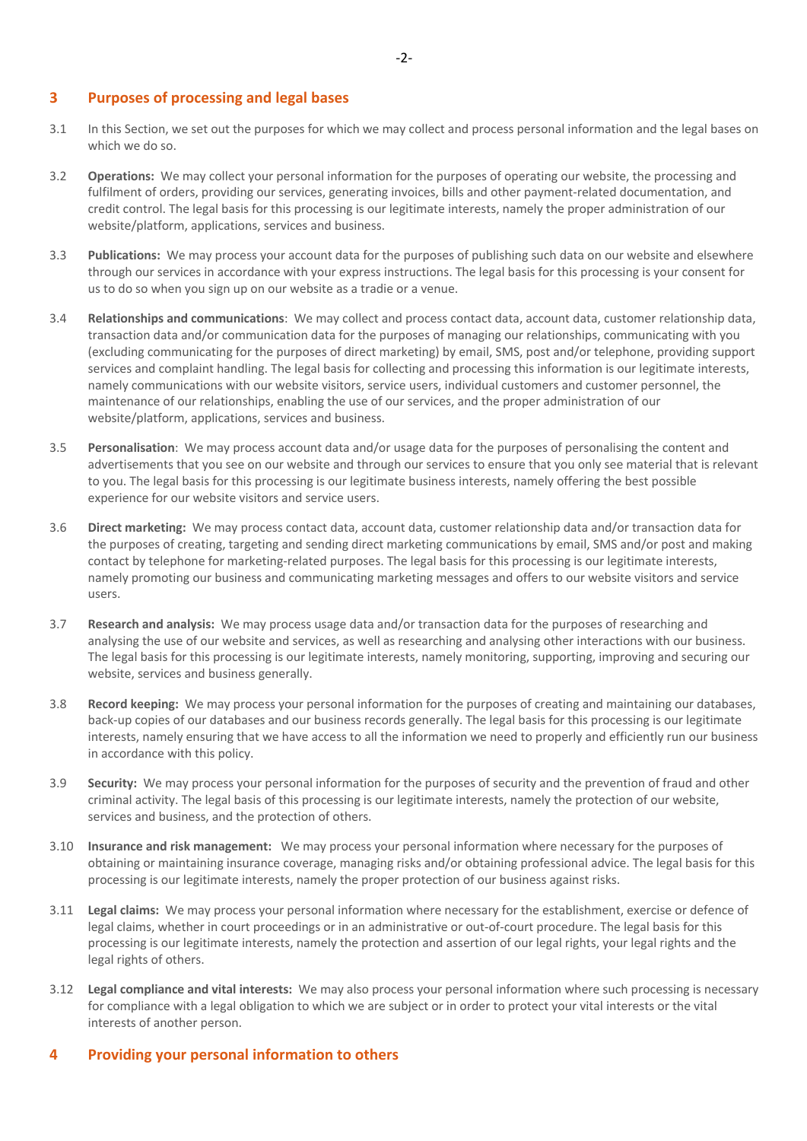## **3 Purposes of processing and legal bases**

- 3.1 In this Section, we set out the purposes for which we may collect and process personal information and the legal bases on which we do so.
- 3.2 **Operations:** We may collect your personal information for the purposes of operating our website, the processing and fulfilment of orders, providing our services, generating invoices, bills and other payment-related documentation, and credit control. The legal basis for this processing is our legitimate interests, namely the proper administration of our website/platform, applications, services and business.
- 3.3 **Publications:** We may process your account data for the purposes of publishing such data on our website and elsewhere through our services in accordance with your express instructions. The legal basis for this processing is your consent for us to do so when you sign up on our website as a tradie or a venue.
- 3.4 **Relationships and communications**: We may collect and process contact data, account data, customer relationship data, transaction data and/or communication data for the purposes of managing our relationships, communicating with you (excluding communicating for the purposes of direct marketing) by email, SMS, post and/or telephone, providing support services and complaint handling. The legal basis for collecting and processing this information is our legitimate interests, namely communications with our website visitors, service users, individual customers and customer personnel, the maintenance of our relationships, enabling the use of our services, and the proper administration of our website/platform, applications, services and business.
- 3.5 **Personalisation**: We may process account data and/or usage data for the purposes of personalising the content and advertisements that you see on our website and through our services to ensure that you only see material that is relevant to you. The legal basis for this processing is our legitimate business interests, namely offering the best possible experience for our website visitors and service users.
- 3.6 **Direct marketing:** We may process contact data, account data, customer relationship data and/or transaction data for the purposes of creating, targeting and sending direct marketing communications by email, SMS and/or post and making contact by telephone for marketing-related purposes. The legal basis for this processing is our legitimate interests, namely promoting our business and communicating marketing messages and offers to our website visitors and service users.
- 3.7 **Research and analysis:** We may process usage data and/or transaction data for the purposes of researching and analysing the use of our website and services, as well as researching and analysing other interactions with our business. The legal basis for this processing is our legitimate interests, namely monitoring, supporting, improving and securing our website, services and business generally.
- 3.8 **Record keeping:** We may process your personal information for the purposes of creating and maintaining our databases, back-up copies of our databases and our business records generally. The legal basis for this processing is our legitimate interests, namely ensuring that we have access to all the information we need to properly and efficiently run our business in accordance with this policy.
- 3.9 **Security:** We may process your personal information for the purposes of security and the prevention of fraud and other criminal activity. The legal basis of this processing is our legitimate interests, namely the protection of our website, services and business, and the protection of others.
- 3.10 **Insurance and risk management:** We may process your personal information where necessary for the purposes of obtaining or maintaining insurance coverage, managing risks and/or obtaining professional advice. The legal basis for this processing is our legitimate interests, namely the proper protection of our business against risks.
- 3.11 **Legal claims:** We may process your personal information where necessary for the establishment, exercise or defence of legal claims, whether in court proceedings or in an administrative or out-of-court procedure. The legal basis for this processing is our legitimate interests, namely the protection and assertion of our legal rights, your legal rights and the legal rights of others.
- 3.12 **Legal compliance and vital interests:** We may also process your personal information where such processing is necessary for compliance with a legal obligation to which we are subject or in order to protect your vital interests or the vital interests of another person.

#### **4 Providing your personal information to others**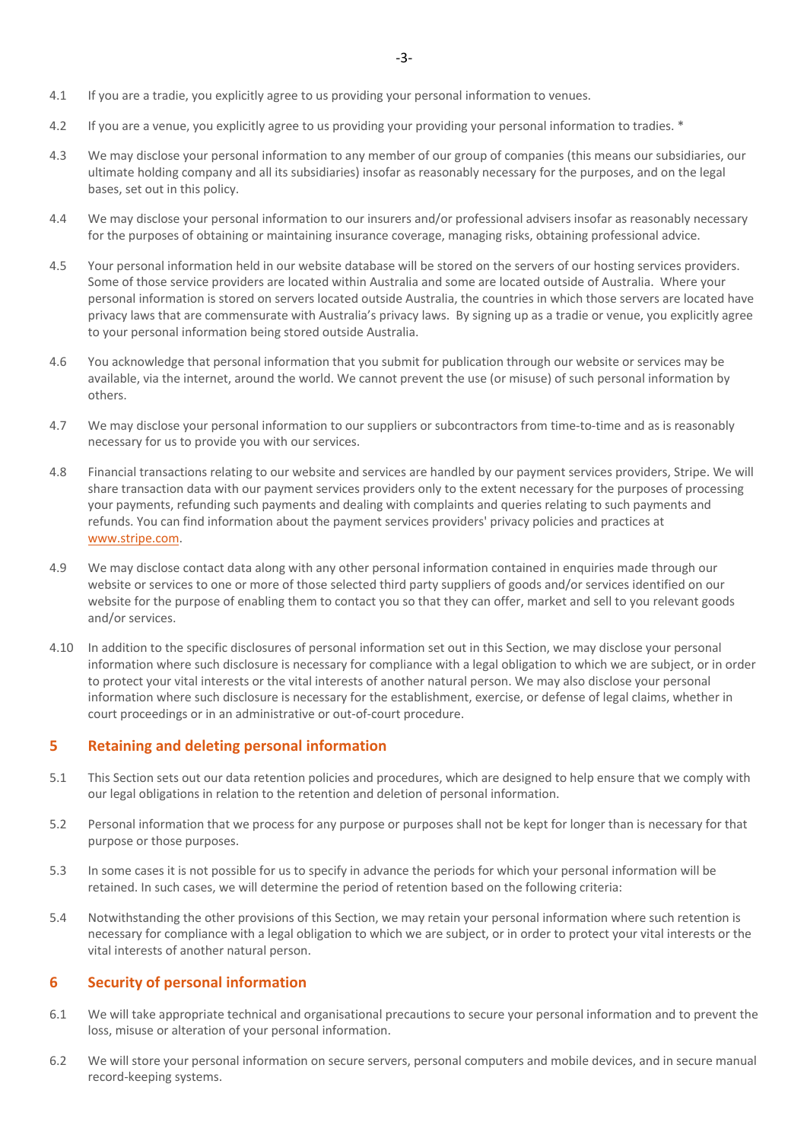- 4.2 If you are a venue, you explicitly agree to us providing your providing your personal information to tradies. \*
- 4.3 We may disclose your personal information to any member of our group of companies (this means our subsidiaries, our ultimate holding company and all its subsidiaries) insofar as reasonably necessary for the purposes, and on the legal bases, set out in this policy.
- 4.4 We may disclose your personal information to our insurers and/or professional advisers insofar as reasonably necessary for the purposes of obtaining or maintaining insurance coverage, managing risks, obtaining professional advice.
- 4.5 Your personal information held in our website database will be stored on the servers of our hosting services providers. Some of those service providers are located within Australia and some are located outside of Australia. Where your personal information is stored on servers located outside Australia, the countries in which those servers are located have privacy laws that are commensurate with Australia's privacy laws. By signing up as a tradie or venue, you explicitly agree to your personal information being stored outside Australia.
- 4.6 You acknowledge that personal information that you submit for publication through our website or services may be available, via the internet, around the world. We cannot prevent the use (or misuse) of such personal information by others.
- 4.7 We may disclose your personal information to our suppliers or subcontractors from time-to-time and as is reasonably necessary for us to provide you with our services.
- 4.8 Financial transactions relating to our website and services are handled by our payment services providers, Stripe. We will share transaction data with our payment services providers only to the extent necessary for the purposes of processing your payments, refunding such payments and dealing with complaints and queries relating to such payments and refunds. You can find information about the payment services providers' privacy policies and practices at www.stripe.com.
- 4.9 We may disclose contact data along with any other personal information contained in enquiries made through our website or services to one or more of those selected third party suppliers of goods and/or services identified on our website for the purpose of enabling them to contact you so that they can offer, market and sell to you relevant goods and/or services.
- 4.10 In addition to the specific disclosures of personal information set out in this Section, we may disclose your personal information where such disclosure is necessary for compliance with a legal obligation to which we are subject, or in order to protect your vital interests or the vital interests of another natural person. We may also disclose your personal information where such disclosure is necessary for the establishment, exercise, or defense of legal claims, whether in court proceedings or in an administrative or out-of-court procedure.

# **5 Retaining and deleting personal information**

- 5.1 This Section sets out our data retention policies and procedures, which are designed to help ensure that we comply with our legal obligations in relation to the retention and deletion of personal information.
- 5.2 Personal information that we process for any purpose or purposes shall not be kept for longer than is necessary for that purpose or those purposes.
- 5.3 In some cases it is not possible for us to specify in advance the periods for which your personal information will be retained. In such cases, we will determine the period of retention based on the following criteria:
- 5.4 Notwithstanding the other provisions of this Section, we may retain your personal information where such retention is necessary for compliance with a legal obligation to which we are subject, or in order to protect your vital interests or the vital interests of another natural person.

# **6 Security of personal information**

- 6.1 We will take appropriate technical and organisational precautions to secure your personal information and to prevent the loss, misuse or alteration of your personal information.
- 6.2 We will store your personal information on secure servers, personal computers and mobile devices, and in secure manual record-keeping systems.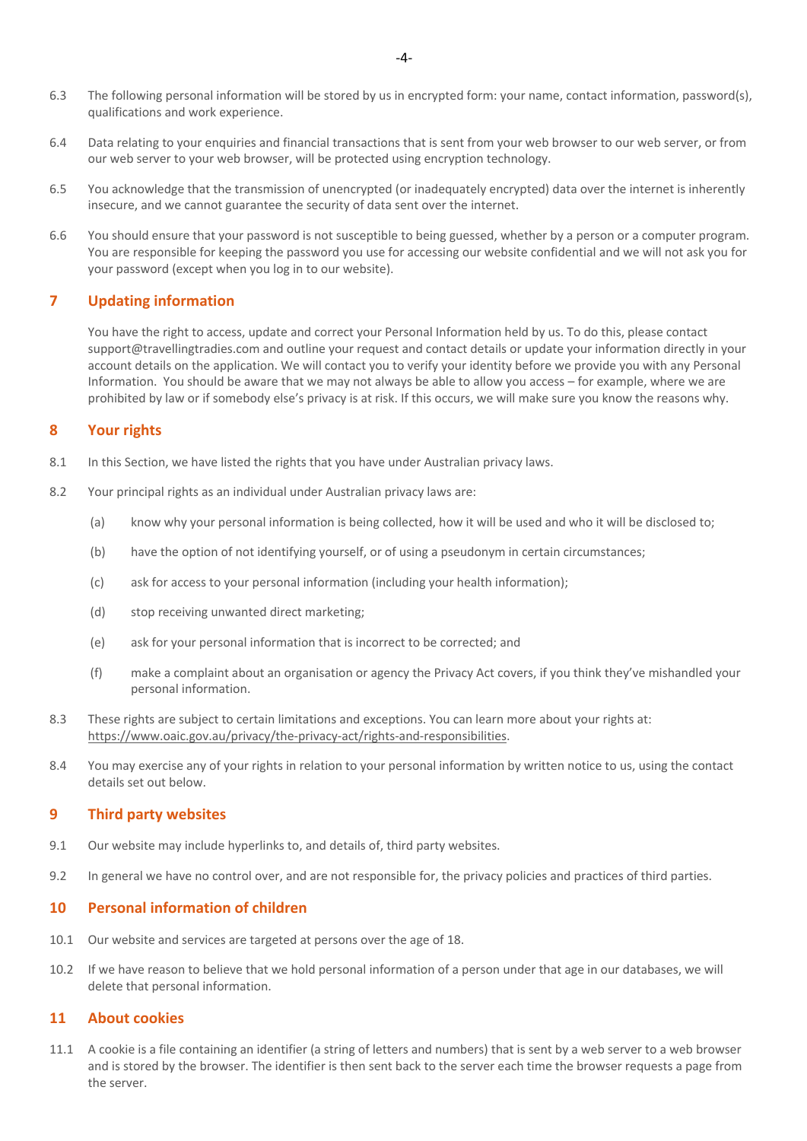- 6.3 The following personal information will be stored by us in encrypted form: your name, contact information, password(s), qualifications and work experience.
- 6.4 Data relating to your enquiries and financial transactions that is sent from your web browser to our web server, or from our web server to your web browser, will be protected using encryption technology.
- 6.5 You acknowledge that the transmission of unencrypted (or inadequately encrypted) data over the internet is inherently insecure, and we cannot guarantee the security of data sent over the internet.
- 6.6 You should ensure that your password is not susceptible to being guessed, whether by a person or a computer program. You are responsible for keeping the password you use for accessing our website confidential and we will not ask you for your password (except when you log in to our website).

# **7 Updating information**

You have the right to access, update and correct your Personal Information held by us. To do this, please contact support@travellingtradies.com and outline your request and contact details or update your information directly in your account details on the application. We will contact you to verify your identity before we provide you with any Personal Information. You should be aware that we may not always be able to allow you access – for example, where we are prohibited by law or if somebody else's privacy is at risk. If this occurs, we will make sure you know the reasons why.

# **8 Your rights**

- 8.1 In this Section, we have listed the rights that you have under Australian privacy laws.
- 8.2 Your principal rights as an individual under Australian privacy laws are:
	- (a) know why your personal information is being collected, how it will be used and who it will be disclosed to;
	- (b) have the option of not identifying yourself, or of using a pseudonym in certain circumstances;
	- (c) ask for access to your personal information (including your health information);
	- (d) stop receiving unwanted direct marketing;
	- (e) ask for your personal information that is incorrect to be corrected; and
	- (f) make a complaint about an organisation or agency the Privacy Act covers, if you think they've mishandled your personal information.
- 8.3 These rights are subject to certain limitations and exceptions. You can learn more about your rights at: https://www.oaic.gov.au/privacy/the-privacy-act/rights-and-responsibilities.
- 8.4 You may exercise any of your rights in relation to your personal information by written notice to us, using the contact details set out below.

# **9 Third party websites**

- 9.1 Our website may include hyperlinks to, and details of, third party websites.
- 9.2 In general we have no control over, and are not responsible for, the privacy policies and practices of third parties.

# **10 Personal information of children**

- 10.1 Our website and services are targeted at persons over the age of 18.
- 10.2 If we have reason to believe that we hold personal information of a person under that age in our databases, we will delete that personal information.

## **11 About cookies**

11.1 A cookie is a file containing an identifier (a string of letters and numbers) that is sent by a web server to a web browser and is stored by the browser. The identifier is then sent back to the server each time the browser requests a page from the server.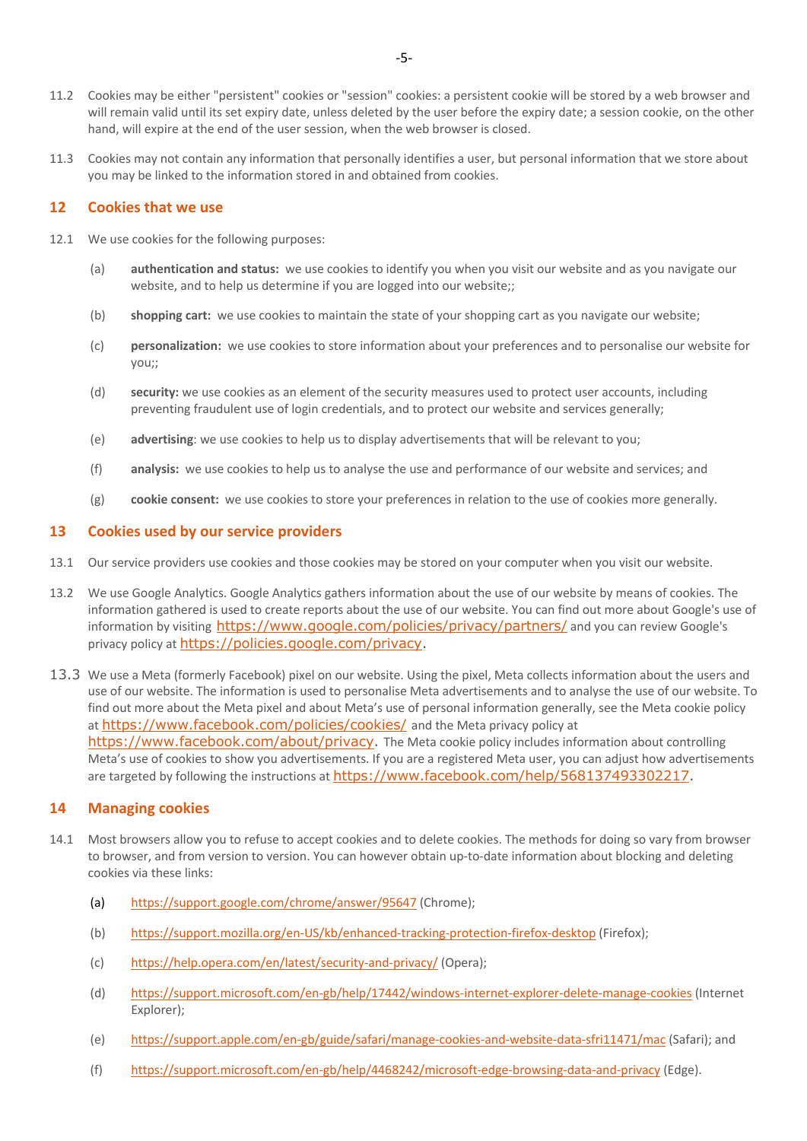- 11.2 Cookies may be either "persistent" cookies or "session" cookies: a persistent cookie will be stored by a web browser and will remain valid until its set expiry date, unless deleted by the user before the expiry date; a session cookie, on the other hand, will expire at the end of the user session, when the web browser is closed.
- 11.3 Cookies may not contain any information that personally identifies a user, but personal information that we store about you may be linked to the information stored in and obtained from cookies.

## **12 Cookies that we use**

- 12.1 We use cookies for the following purposes:
	- (a) **authentication and status:** we use cookies to identify you when you visit our website and as you navigate our website, and to help us determine if you are logged into our website;;
	- (b) **shopping cart:** we use cookies to maintain the state of your shopping cart as you navigate our website;
	- (c) **personalization:** we use cookies to store information about your preferences and to personalise our website for you;;
	- (d) **security:** we use cookies as an element of the security measures used to protect user accounts, including preventing fraudulent use of login credentials, and to protect our website and services generally;
	- (e) **advertising**: we use cookies to help us to display advertisements that will be relevant to you;
	- (f) **analysis:** we use cookies to help us to analyse the use and performance of our website and services; and
	- (g) **cookie consent:** we use cookies to store your preferences in relation to the use of cookies more generally.

#### **13 Cookies used by our service providers**

- 13.1 Our service providers use cookies and those cookies may be stored on your computer when you visit our website.
- 13.2 We use Google Analytics. Google Analytics gathers information about the use of our website by means of cookies. The information gathered is used to create reports about the use of our website. You can find out more about Google's use of information by visiting https://www.google.com/policies/privacy/partners/ and you can review Google's privacy policy at https://policies.google.com/privacy.
- 13.3 We use a Meta (formerly Facebook) pixel on our website. Using the pixel, Meta collects information about the users and use of our website. The information is used to personalise Meta advertisements and to analyse the use of our website. To find out more about the Meta pixel and about Meta's use of personal information generally, see the Meta cookie policy at https://www.facebook.com/policies/cookies/ and the Meta privacy policy at https://www.facebook.com/about/privacy. The Meta cookie policy includes information about controlling Meta's use of cookies to show you advertisements. If you are a registered Meta user, you can adjust how advertisements are targeted by following the instructions at https://www.facebook.com/help/568137493302217.

# **14 Managing cookies**

- 14.1 Most browsers allow you to refuse to accept cookies and to delete cookies. The methods for doing so vary from browser to browser, and from version to version. You can however obtain up-to-date information about blocking and deleting cookies via these links:
	- (a) https://support.google.com/chrome/answer/95647 (Chrome);
	- (b) https://support.mozilla.org/en-US/kb/enhanced-tracking-protection-firefox-desktop (Firefox);
	- (c) https://help.opera.com/en/latest/security-and-privacy/ (Opera);
	- (d) https://support.microsoft.com/en-gb/help/17442/windows-internet-explorer-delete-manage-cookies (Internet Explorer);
	- (e) https://support.apple.com/en-gb/guide/safari/manage-cookies-and-website-data-sfri11471/mac (Safari); and
	- (f) https://support.microsoft.com/en-gb/help/4468242/microsoft-edge-browsing-data-and-privacy (Edge).